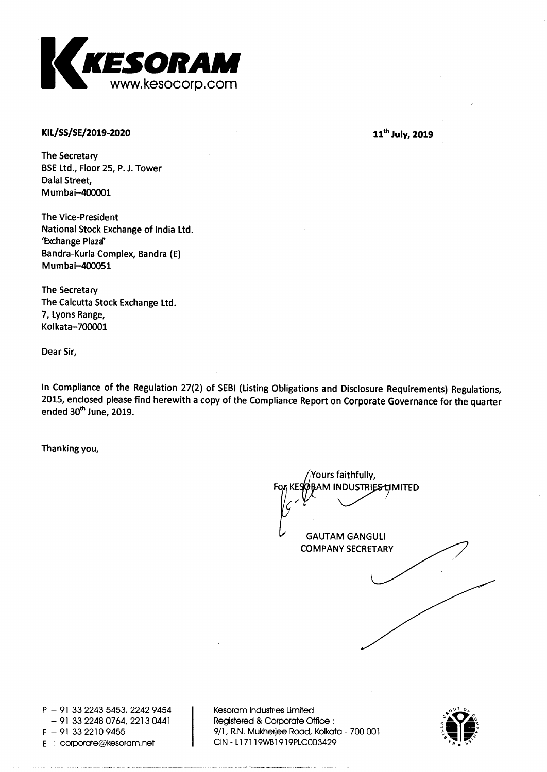

### **KIL/SS/SE/2019-2020**

**11th July, 2019** 

**The Secretary BSE Ltd., Floor 25, P. J. Tower Dalai Street, Mumbai-400001** 

**The Vice-President National Stock Exchange of India Ltd. 'Exchange Plaza' Bandra-Kurla Complex, Bandra (E) Mumbai-400051** 

**The Secretary The Calcutta Stock Exchange Ltd. 7, Lyons Range, Kolkata-700001** 

**Dear Sir,** 

**In Compliance of the Regulation 27(2) of SEBI (Listing Obligations and Disclosure Requirements) Regulations, 2015, enclosed please find herewith a copy of the Compliance Report on Corporate Governance for the quarter ended 30th June, 2019.** 

**Thanking you,** 

**GAUTAM GANGULI COMPANY SECRETARY Yours faithfully, RAM INDUSTRIES LIMITED** 

**P + 91 33 2243 5453, 2242 9454 + 91 33 2248 0764, 2213 0441 E** : corporate@kesoram.net

**Kesoram Industries Limited Registered & Corporate Office : F + 91 33 2210 9455 9/1, R.N. Mukherjee Road, Kolkata - 700 001** 

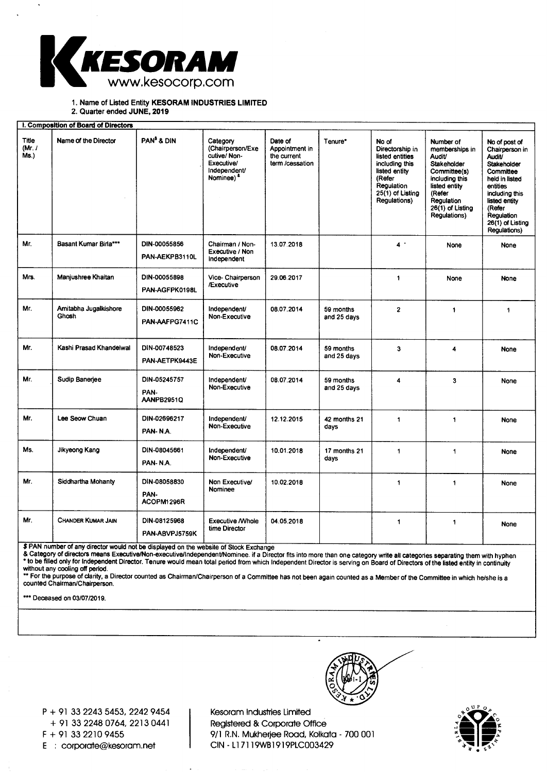

**1. Name of Listed Entity KESORAM INDUSTRIES LIMITED** 

**2. Quarter ended JUNE, 2019** 

|                                 | I. Composition of Board of Directors |                                    |                                                                                                        |                                                             |                          |                                                                                                                                            |                                                                                                                                                                       |                                                                                                                                                                                                           |
|---------------------------------|--------------------------------------|------------------------------------|--------------------------------------------------------------------------------------------------------|-------------------------------------------------------------|--------------------------|--------------------------------------------------------------------------------------------------------------------------------------------|-----------------------------------------------------------------------------------------------------------------------------------------------------------------------|-----------------------------------------------------------------------------------------------------------------------------------------------------------------------------------------------------------|
| <b>Title</b><br>(Mr. $/$<br>Ms. | Name of the Director                 | PAN <sup>\$</sup> & DIN            | Category<br>(Chairperson/Exe<br>cutive/Non-<br>Executive/<br>Independent/<br>Nominee) <sup>&amp;</sup> | Date of<br>Appointment in<br>the current<br>term /cessation | Tenure*                  | No of<br>Directorship in<br>listed entities<br>including this<br>listed entity<br>(Refer<br>Regulation<br>25(1) of Listing<br>Regulations) | Number of<br>memberships in<br>Audit/<br>Stakeholder<br>Committee(s)<br>including this<br>listed entity<br>(Refer<br>Regulation<br>$26(1)$ of Listing<br>Regulations) | No of post of<br>Chairperson in<br><b>Audit/</b><br>Stakeholder<br>Committee<br>held in listed<br>entities<br>including this<br>listed entity<br>(Refer<br>Regulation<br>26(1) of Listing<br>Regulations) |
| Mr.                             | Basant Kumar Birla***                | DIN-00055856<br>PAN-AEKPB3110L     | Chairman / Non-<br>Executive / Non<br>Independent                                                      | 13.07.2018                                                  |                          | $4$ .                                                                                                                                      | None                                                                                                                                                                  | None                                                                                                                                                                                                      |
| Mrs.                            | Manjushree Khaitan                   | DIN-00055898<br>PAN-AGFPK0198L     | Vice- Chairperson<br>/Executive                                                                        | 29.06.2017                                                  |                          | 1                                                                                                                                          | None                                                                                                                                                                  | <b>None</b>                                                                                                                                                                                               |
| Mr.                             | Amitabha Jugalkishore<br>Ghosh       | DIN-00055962<br>PAN-AAFPG7411C     | Independent/<br>Non-Executive                                                                          | 08.07.2014                                                  | 59 months<br>and 25 days | $\overline{2}$                                                                                                                             | 1                                                                                                                                                                     | $\blacktriangleleft$                                                                                                                                                                                      |
| Mr.                             | Kashi Prasad Khandelwal              | DIN-00748523<br>PAN-AETPK9443E     | Independent/<br>Non-Executive                                                                          | 08.07.2014                                                  | 59 months<br>and 25 days | 3                                                                                                                                          | 4                                                                                                                                                                     | <b>None</b>                                                                                                                                                                                               |
| Mr.                             | Sudip Banerjee                       | DIN-05245757<br>PAN-<br>AANPB2951Q | Independent/<br>Non-Executive                                                                          | 08.07.2014                                                  | 59 months<br>and 25 days | 4                                                                                                                                          | 3                                                                                                                                                                     | None                                                                                                                                                                                                      |
| Mr.                             | Lee Seow Chuan                       | DIN-02696217<br>PAN-N.A.           | Independent/<br>Non-Executive                                                                          | 12.12.2015                                                  | 42 months 21<br>days     | $\mathbf{1}$                                                                                                                               | $\ddot{\phantom{1}}$                                                                                                                                                  | None                                                                                                                                                                                                      |
| Ms.                             | Jikyeong Kang                        | DIN-08045661<br>PAN-N.A.           | Independent/<br>Non-Executive                                                                          | 10.01.2018                                                  | 17 months 21<br>days     | 1                                                                                                                                          | 1                                                                                                                                                                     | None                                                                                                                                                                                                      |
| Mr.                             | Siddhartha Mohanty                   | DIN-08058830<br>PAN-<br>ACOPM1296R | Non Executive/<br>Nominee                                                                              | 10.02.2018                                                  |                          | $\ddagger$                                                                                                                                 | 1                                                                                                                                                                     | <b>None</b>                                                                                                                                                                                               |
| Mr.                             | <b>CHANDER KUMAR JAIN</b>            | DIN-08125968<br>PAN-ABVPJ5759K     | <b>Executive /Whole</b><br>time Director                                                               | 04.05.2018                                                  |                          | 1                                                                                                                                          | $\ddagger$                                                                                                                                                            | <b>None</b>                                                                                                                                                                                               |

\$ PAN number of any director would not be displayed on the website of Stock Exchange

& Category of directors means Executive/Non-executive/Independent/Nominee. if a Director fits into more than one category write all categories separating them with hyphe Fito be filled only for Independent Director. Tenure would mean total period from which Independent Director's serving on Board of Directors of the listed entity in continuity without any cooling off period.

'• For the purpose of clarity, a Director counted as Chairman/Chairperson of a Committee has not been again counted as a Member of the Committee in which he/she is a counted Chairman/Chairperson.

\*\*\* Deceased on 03/07/2019.

**P +** 91 33 2243 5453, 2242 9454 + 91 33 2248 0764, 2213 0441 F + 91 33 2210 9455 E corporate@kesoram.net

Kesoram Industries Limited Registered & Corporate Office 9/1 R.N. Mukherjee Road, Kolkata - 700 001 CIN - 117119WB1919PLC003429

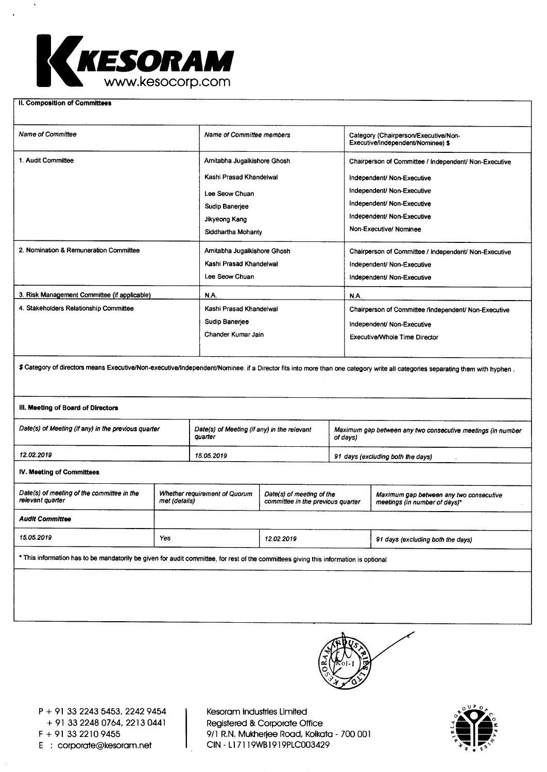

**II. Composition of Committees** 

| <b>Name of Committee</b>                                                                                                                                                     | Name of Committee members                              |                                                                                                 |          | Category (Chairperson/Executive/Non-<br>Executive/independent/Nominee) \$ |                                                                          |  |  |  |
|------------------------------------------------------------------------------------------------------------------------------------------------------------------------------|--------------------------------------------------------|-------------------------------------------------------------------------------------------------|----------|---------------------------------------------------------------------------|--------------------------------------------------------------------------|--|--|--|
| 1. Audit Committee                                                                                                                                                           | Amitabha Jugalkishore Ghosh                            |                                                                                                 |          | Chairperson of Committee / Independent/ Non-Executive                     |                                                                          |  |  |  |
|                                                                                                                                                                              | Kashi Prasad Khandelwal                                |                                                                                                 |          | Independent/ Non-Executive                                                |                                                                          |  |  |  |
|                                                                                                                                                                              |                                                        | Lee Seow Chuan                                                                                  |          |                                                                           | Independent/ Non-Executive                                               |  |  |  |
|                                                                                                                                                                              |                                                        | Sudip Banerjee                                                                                  |          |                                                                           | Independent/ Non-Executive                                               |  |  |  |
|                                                                                                                                                                              | Jikyeong Kang                                          |                                                                                                 |          | Independent/ Non-Executive                                                |                                                                          |  |  |  |
|                                                                                                                                                                              | Siddhartha Mohanty                                     |                                                                                                 |          | Non-Executive/Nominee                                                     |                                                                          |  |  |  |
| 2. Nomination & Remuneration Committee                                                                                                                                       | Amitabha Jugalkishore Ghosh                            |                                                                                                 |          | Chairperson of Committee / Independent/ Non-Executive                     |                                                                          |  |  |  |
|                                                                                                                                                                              | Kashi Prasad Khandelwal                                |                                                                                                 |          | Independent/ Non-Executive                                                |                                                                          |  |  |  |
|                                                                                                                                                                              | Lee Seow Chuan                                         |                                                                                                 |          | Independent/ Non-Executive                                                |                                                                          |  |  |  |
| 3. Risk Management Committee (if applicable)                                                                                                                                 |                                                        | N.A.                                                                                            |          | N.A.                                                                      |                                                                          |  |  |  |
| 4. Stakeholders Relationship Committee                                                                                                                                       |                                                        | Kashi Prasad Khandelwal                                                                         |          |                                                                           | Chairperson of Committee /Independent/ Non-Executive                     |  |  |  |
|                                                                                                                                                                              | Sudip Banerjee                                         |                                                                                                 |          | Independent/ Non-Executive                                                |                                                                          |  |  |  |
|                                                                                                                                                                              |                                                        | Chander Kumar Jain                                                                              |          |                                                                           | <b>Executive/Whole Time Director</b>                                     |  |  |  |
|                                                                                                                                                                              |                                                        |                                                                                                 |          |                                                                           |                                                                          |  |  |  |
| \$ Category of directors means Executive/Non-executive/Independent/Nominee. if a Director fits into more than one category write all categories separating them with hyphen. |                                                        |                                                                                                 |          |                                                                           |                                                                          |  |  |  |
| III. Meeting of Board of Directors                                                                                                                                           |                                                        |                                                                                                 |          |                                                                           |                                                                          |  |  |  |
| Date(s) of Meeting (if any) in the previous quarter                                                                                                                          | Date(s) of Meeting (if any) in the relevant<br>quarter |                                                                                                 | of days) | Maximum gap between any two consecutive meetings (in number               |                                                                          |  |  |  |
| 12.02.2019                                                                                                                                                                   |                                                        | 15.05.2019                                                                                      |          |                                                                           | 91 days (excluding both the days)                                        |  |  |  |
| IV. Meeting of Committees                                                                                                                                                    |                                                        |                                                                                                 |          |                                                                           |                                                                          |  |  |  |
| Date(s) of meeting of the committee in the<br>relevant quarter<br>met (details)                                                                                              |                                                        | Whether requirement of Quorum<br>Date(s) of meeting of the<br>committee in the previous quarter |          |                                                                           | Maximum gap between any two consecutive<br>meetings (in number of days)* |  |  |  |
| <b>Audit Committee</b>                                                                                                                                                       |                                                        |                                                                                                 |          |                                                                           |                                                                          |  |  |  |
| 15.05.2019<br>Yes                                                                                                                                                            |                                                        | 12.02.2019                                                                                      |          |                                                                           | 91 days (excluding both the days)                                        |  |  |  |
| * This information has to be mandatorily be given for audit committee, for rest of the committees giving this information is optional                                        |                                                        |                                                                                                 |          |                                                                           |                                                                          |  |  |  |
|                                                                                                                                                                              |                                                        |                                                                                                 |          |                                                                           |                                                                          |  |  |  |
|                                                                                                                                                                              |                                                        |                                                                                                 |          |                                                                           |                                                                          |  |  |  |
|                                                                                                                                                                              |                                                        |                                                                                                 |          |                                                                           |                                                                          |  |  |  |
|                                                                                                                                                                              |                                                        |                                                                                                 |          |                                                                           |                                                                          |  |  |  |



P + 91 33 2243 5453, 2242 9454 + 91 33 2248 0764, 2213 0441 F + 91 33 2210 9455 E : corporate@kesoram.net

Kesoram Industries Limited Registered & Corporate Office 9/1 R.N. Mukherjee Road, Kolkata - 700 001 CIN - L17119WB1919PLC003429